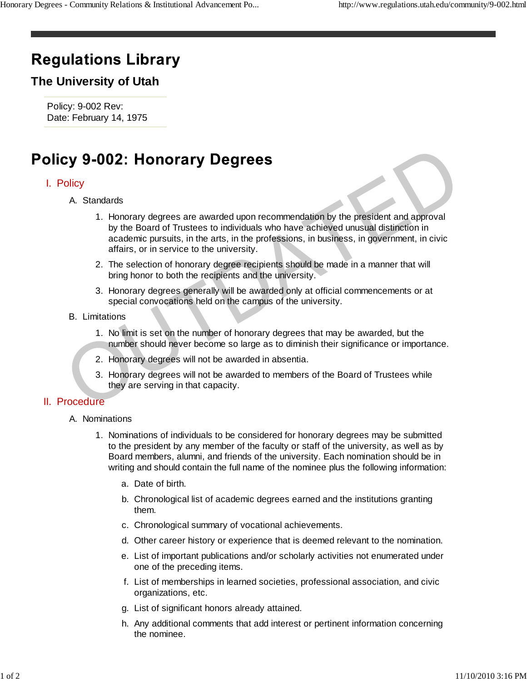# **Regulations Library**

## **The University of Utah**

Policy: 9-002 Rev: Date: February 14, 1975

### I. Policy

- Standards A.
- 1. Honorary degrees are awarded upon recommendation by the president and approval by the Board of Trustees to individuals who have achieved unusual distinction in academic pursuits, in the arts, in the professions, in business, in government, in civic affairs, or in service to the university. Cy 9-002: Honorary Degrees<br>
A Standards<br>
1. Honorary degrees are awarded upon recommendation by the president and approval<br>
by the Board of Trustees to individuals who have achieved unusual distinction in<br>
academic pursuit
	- 2. The selection of honorary degree recipients should be made in a manner that will bring honor to both the recipients and the university.
	- 3. Honorary degrees generally will be awarded only at official commencements or at special convocations held on the campus of the university.
	- **B.** Limitations
		- 1. No limit is set on the number of honorary degrees that may be awarded, but the number should never become so large as to diminish their significance or importance.
		- 2. Honorary degrees will not be awarded in absentia.
		- 3. Honorary degrees will not be awarded to members of the Board of Trustees while they are serving in that capacity.

#### II. Procedure

- A. Nominations
	- 1. Nominations of individuals to be considered for honorary degrees may be submitted to the president by any member of the faculty or staff of the university, as well as by Board members, alumni, and friends of the university. Each nomination should be in writing and should contain the full name of the nominee plus the following information:
		- a. Date of birth.
		- b. Chronological list of academic degrees earned and the institutions granting them.
		- c. Chronological summary of vocational achievements.
		- d. Other career history or experience that is deemed relevant to the nomination.
		- e. List of important publications and/or scholarly activities not enumerated under one of the preceding items.
		- f. List of memberships in learned societies, professional association, and civic organizations, etc.
		- g. List of significant honors already attained.
		- h. Any additional comments that add interest or pertinent information concerning the nominee.